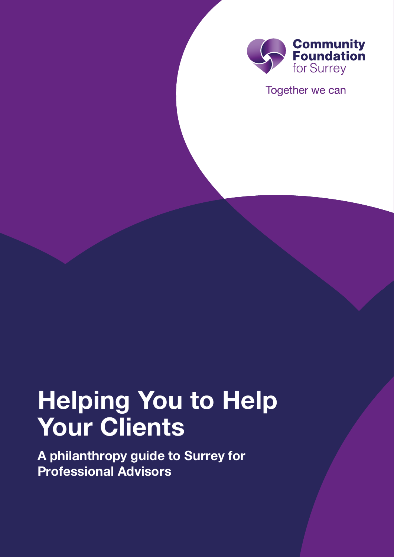

Together we can

# **Helping You to Help Your Clients**

**A philanthropy guide to Surrey for Professional Advisors**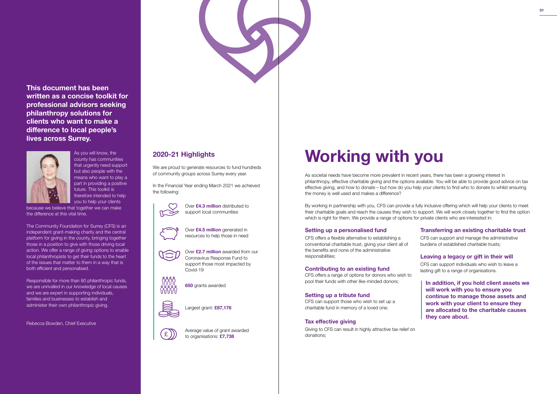As societal needs have become more prevalent in recent years, there has been a growing interest in philanthropy, effective charitable giving and the options available. You will be able to provide good advice on tax effective giving, and how to donate – but how do you help your clients to find who to donate to whilst ensuring the money is well used and makes a difference?

By working in partnership with you, CFS can provide a fully inclusive offering which will help your clients to meet their charitable goals and reach the causes they wish to support. We will work closely together to find the option which is right for them. We provide a range of options for private clients who are interested in:

### **Setting up a personalised fund**

CFS offers a flexible alternative to establishing a conventional charitable trust, giving your client all of the benefits and none of the administrative responsibilities;

### **Contributing to an existing fund**

CFS offers a range of options for donors who wish to pool their funds with other like-minded donors;

### **Setting up a tribute fund**

CFS can support those who wish to set up a charitable fund in memory of a loved one;

### **Tax effective giving**

Giving to CFS can result in highly attractive tax relief on donations;



#### **Transferring an existing charitable trust**

CFS can support and manage the administrative burdens of established charitable trusts;

Responsible for more than 80 philanthropic funds, we are unrivalled in our knowledge of local causes and we are expert in supporting individuals, families and businesses to establish and administer their own philanthropic giving.

#### **Leaving a legacy or gift in their will**

We are proud to generate resources to fund hundreds of community groups across Surrey every year.

> CFS can support individuals who wish to leave a lasting gift to a range of organisations.

**In addition, if you hold client assets we will work with you to ensure you continue to manage those assets and work with your client to ensure they are allocated to the charitable causes they care about.**

county has communities that urgently need support but also people with the means who want to play a part in providing a positive future. This toolkit is therefore intended to help you to help your clients

because we believe that together we can make the difference at this vital time.

The Community Foundation for Surrey (CFS) is an independent grant-making charity and the central platform for giving in the county, bringing together those in a position to give with those driving local action. We offer a range of giving options to enable local philanthropists to get their funds to the heart of the issues that matter to them in a way that is both efficient and personalised.

Rebecca Bowden, Chief Executive

# **2020-21 Highlights**

In the Financial Year ending March 2021 we achieved the following:



Over **£4.3 million** distributed to support local communities

Over **£4.5 million** generated in resources to help those in need



Over **£2.7 million** awarded from our Coronavirus Response Fund to support those most impacted by Covid-19

**650** grants awarded



Largest grant: **£87,178**



Average value of grant awarded to organisations: **£7,738**

# As you will know, the **with as communities** and a separate and a separate and a separate and a separate and a separate and a separate and a separate and a separate and a separate and a separate and a separate and a separat

**This document has been written as a concise toolkit for professional advisors seeking philanthropy solutions for clients who want to make a difference to local people's lives across Surrey.**

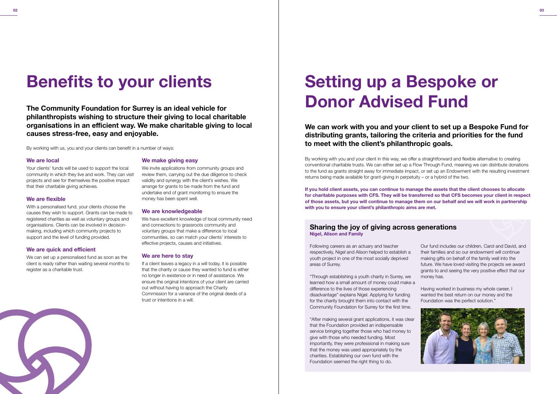**The Community Foundation for Surrey is an ideal vehicle for philanthropists wishing to structure their giving to local charitable organisations in an efficient way. We make charitable giving to local causes stress-free, easy and enjoyable.**

By working with us, you and your clients can benefit in a number of ways:

#### **We are local**

With a personalised fund, your clients choose the causes they wish to support. Grants can be made to registered charities as well as voluntary groups and organisations. Clients can be involved in decisionmaking, including which community projects to support and the level of funding provided.

Your clients' funds will be used to support the local community in which they live and work. They can visit projects and see for themselves the positive impact that their charitable giving achieves.

#### **We are flexible**

#### **We are quick and efficient**

We can set up a personalised fund as soon as the client is ready rather than waiting several months to register as a charitable trust.



#### **We make giving easy**

We invite applications from community groups and review them, carrying out the due diligence to check validity and synergy with the client's wishes. We arrange for grants to be made from the fund and undertake end of grant monitoring to ensure the money has been spent well.

#### **We are knowledgeable**

We have excellent knowledge of local community need and connections to grassroots community and voluntary groups that make a difference to local communities, so can match your clients' interests to effective projects, causes and initiatives.

If you hold client assets, you can continue to manage the assets that the client chooses to allocate **for charitable purposes with CFS. They will be transferred so that CFS becomes your client in respect** of those assets, but you will continue to manage them on our behalf and we will work in partnership **with you to ensure your client's philanthropic aims are met.**

#### **We are here to stay**

If a client leaves a legacy in a will today, it is possible that the charity or cause they wanted to fund is either no longer in existence or in need of assistance. We ensure the original intentions of your client are carried out without having to approach the Charity Commission for a variance of the original deeds of a trust or intentions in a will.

# **Benefits to your clients**

**We can work with you and your client to set up a Bespoke Fund for distributing grants, tailoring the criteria and priorities for the fund to meet with the client's philanthropic goals.**

By working with you and your client in this way, we offer a straightforward and flexible alternative to creating conventional charitable trusts. We can either set up a Flow Through Fund, meaning we can distribute donations to the fund as grants straight away for immediate impact, or set up an Endowment with the resulting investment returns being made available for grant-giving in perpetuity – or a hybrid of the two.

## **Sharing the joy of giving across generations Nigel, Alison and Family**

Following careers as an actuary and teacher respectively, Nigel and Alison helped to establish a youth project in one of the most socially deprived areas of Surrey.

"Through establishing a youth charity in Surrey, we learned how a small amount of money could make a difference to the lives of those experiencing disadvantage" explains Nigel. Applying for funding for the charity brought them into contact with the Community Foundation for Surrey for the first time.

"After making several grant applications, it was clear that the Foundation provided an indispensable service bringing together those who had money to give with those who needed funding. Most importantly, they were professional in making sure that the money was used appropriately by the charities. Establishing our own fund with the Foundation seemed the right thing to do.

Our fund includes our children, Carol and David, and their families and so our endowment will continue making gifts on behalf of the family well into the future. We have loved visiting the projects we award grants to and seeing the very positive effect that our money has.

Having worked in business my whole career, I wanted the best return on our money and the Foundation was the perfect solution."



# **Setting up a Bespoke or Donor Advised Fund**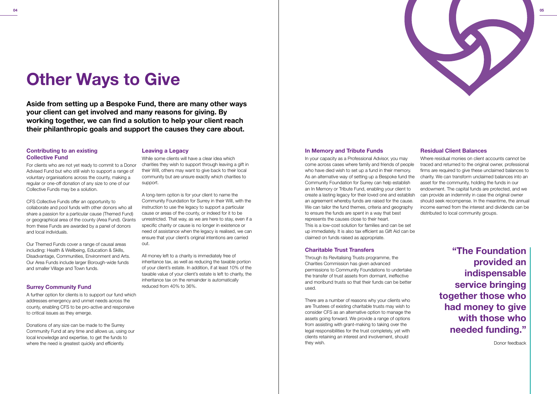

**Aside from setting up a Bespoke Fund, there are many other ways your client can get involved and many reasons for giving. By working together, we can find a solution to help your client reach their philanthropic goals and support the causes they care about.**

#### **Contributing to an existing Collective Fund**

For clients who are not yet ready to commit to a Donor Advised Fund but who still wish to support a range of voluntary organisations across the county, making a regular or one-off donation of any size to one of our Collective Funds may be a solution.

Donations of any size can be made to the Surrey Community Fund at any time and allows us, using our local knowledge and expertise, to get the funds to where the need is greatest quickly and efficiently.

CFS Collective Funds offer an opportunity to collaborate and pool funds with other donors who all share a passion for a particular cause (Themed Fund) or geographical area of the county (Area Fund). Grants from these Funds are awarded by a panel of donors and local individuals.

Our Themed Funds cover a range of causal areas including: Health & Wellbeing, Education & Skills, Disadvantage, Communities, Environment and Arts. Our Area Funds include larger Borough-wide funds and smaller Village and Town funds.

### **Surrey Community Fund**

A further option for clients is to support our fund which addresses emergency and unmet needs across the county, enabling CFS to be pro-active and responsive to critical issues as they emerge.

#### **Leaving a Legacy**

While some clients will have a clear idea which charities they wish to support through leaving a gift in their Will, others may want to give back to their local community but are unsure exactly which charities to support.

A long-term option is for your client to name the Community Foundation for Surrey in their Will, with the instruction to use the legacy to support a particular cause or areas of the county, or indeed for it to be unrestricted. That way, as we are here to stay, even if a specific charity or cause is no longer in existence or need of assistance when the legacy is realised, we can ensure that your client's original intentions are carried out.

All money left to a charity is immediately free of inheritance tax, as well as reducing the taxable portion of your client's estate. In addition, if at least 10% of the taxable value of your client's estate is left to charity, the inheritance tax on the remainder is automatically reduced from 40% to 36%.

#### **In Memory and Tribute Funds**

#### **Charitable Trust Transfers**

Through its Revitalising Trusts programme, the Charities Commission has given advanced permissions to Community Foundations to undertake the transfer of trust assets from dormant, ineffective and moribund trusts so that their funds can be better used.

In your capacity as a Professional Advisor, you may come across cases where family and friends of people who have died wish to set up a fund in their memory. As an alternative way of setting up a Bespoke fund the Community Foundation for Surrey can help establish an In Memory or Tribute Fund, enabling your client to create a lasting legacy for their loved one and establish an agreement whereby funds are raised for the cause. We can tailor the fund themes, criteria and geography to ensure the funds are spent in a way that best represents the causes close to their heart. This is a low-cost solution for families and can be set up immediately. It is also tax efficient as Gift Aid can be claimed on funds raised as appropriate. Where residual monies on client accounts cannot be traced and returned to the original owner, professional firms are required to give these unclaimed balances to charity. We can transform unclaimed balances into an asset for the community, holding the funds in our endowment. The capital funds are protected, and we can provide an indemnity in case the original owner should seek recompense. In the meantime, the annual income earned from the interest and dividends can be distributed to local community groups.

There are a number of reasons why your clients who are Trustees of existing charitable trusts may wish to consider CFS as an alternative option to manage the assets going forward. We provide a range of options from assisting with grant-making to taking over the legal responsibilities for the trust completely, yet with clients retaining an interest and involvement, should they wish.

### **Residual Client Balances**

# **Other Ways to Give**

**"The Foundation provided an indispensable service bringing together those who had money to give with those who needed funding."**

Donor feedback